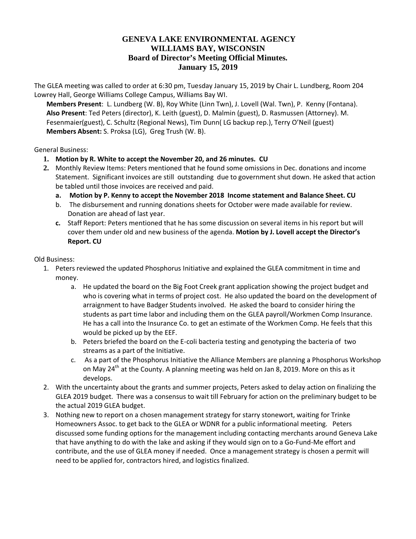# **GENEVA LAKE ENVIRONMENTAL AGENCY WILLIAMS BAY, WISCONSIN Board of Director's Meeting Official Minutes. January 15, 2019**

The GLEA meeting was called to order at 6:30 pm, Tuesday January 15, 2019 by Chair L. Lundberg, Room 204 Lowrey Hall, George Williams College Campus, Williams Bay WI.

**Members Present**: L. Lundberg (W. B), Roy White (Linn Twn), J. Lovell (Wal. Twn), P. Kenny (Fontana). **Also Present**: Ted Peters (director), K. Leith (guest), D. Malmin (guest), D. Rasmussen (Attorney). M. Fesenmaier(guest), C. Schultz (Regional News), Tim Dunn( LG backup rep.), Terry O'Neil (guest) **Members Absent:** S. Proksa (LG), Greg Trush (W. B).

### General Business:

- **1. Motion by R. White to accept the November 20, and 26 minutes. CU**
- **2.** Monthly Review Items: Peters mentioned that he found some omissions in Dec. donations and income Statement. Significant invoices are still outstanding due to government shut down. He asked that action be tabled until those invoices are received and paid.
	- **a. Motion by P. Kenny to accept the November 2018 Income statement and Balance Sheet. CU**
	- b. The disbursement and running donations sheets for October were made available for review. Donation are ahead of last year.
	- **c.** Staff Report: Peters mentioned that he has some discussion on several items in his report but will cover them under old and new business of the agenda. **Motion by J. Lovell accept the Director's Report. CU**

### Old Business:

- 1. Peters reviewed the updated Phosphorus Initiative and explained the GLEA commitment in time and money.
	- a. He updated the board on the Big Foot Creek grant application showing the project budget and who is covering what in terms of project cost. He also updated the board on the development of arraignment to have Badger Students involved. He asked the board to consider hiring the students as part time labor and including them on the GLEA payroll/Workmen Comp Insurance. He has a call into the Insurance Co. to get an estimate of the Workmen Comp. He feels that this would be picked up by the EEF.
	- b. Peters briefed the board on the E-coli bacteria testing and genotyping the bacteria of two streams as a part of the Initiative.
	- c. As a part of the Phosphorus Initiative the Alliance Members are planning a Phosphorus Workshop on May 24<sup>th</sup> at the County. A planning meeting was held on Jan 8, 2019. More on this as it develops.
- 2. With the uncertainty about the grants and summer projects, Peters asked to delay action on finalizing the GLEA 2019 budget. There was a consensus to wait till February for action on the preliminary budget to be the actual 2019 GLEA budget.
- 3. Nothing new to report on a chosen management strategy for starry stonewort, waiting for Trinke Homeowners Assoc. to get back to the GLEA or WDNR for a public informational meeting. Peters discussed some funding options for the management including contacting merchants around Geneva Lake that have anything to do with the lake and asking if they would sign on to a Go-Fund-Me effort and contribute, and the use of GLEA money if needed. Once a management strategy is chosen a permit will need to be applied for, contractors hired, and logistics finalized.